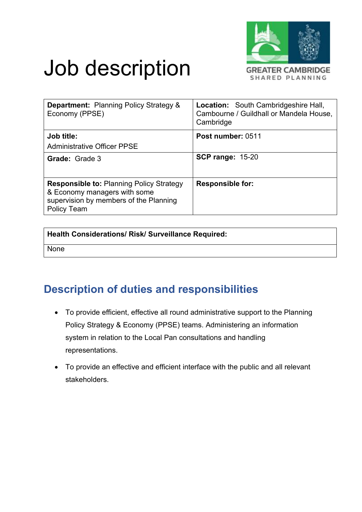

# Job description

| <b>Department: Planning Policy Strategy &amp;</b><br>Economy (PPSE)                                                                      | <b>Location:</b> South Cambridgeshire Hall,<br>Cambourne / Guildhall or Mandela House,<br>Cambridge |
|------------------------------------------------------------------------------------------------------------------------------------------|-----------------------------------------------------------------------------------------------------|
| Job title:<br><b>Administrative Officer PPSE</b>                                                                                         | Post number: 0511                                                                                   |
| <b>Grade: Grade 3</b>                                                                                                                    | <b>SCP range: 15-20</b>                                                                             |
| <b>Responsible to: Planning Policy Strategy</b><br>& Economy managers with some<br>supervision by members of the Planning<br>Policy Team | <b>Responsible for:</b>                                                                             |

#### **Health Considerations/ Risk/ Surveillance Required:**

None

### **Description of duties and responsibilities**

- To provide efficient, effective all round administrative support to the Planning Policy Strategy & Economy (PPSE) teams. Administering an information system in relation to the Local Pan consultations and handling representations.
- To provide an effective and efficient interface with the public and all relevant stakeholders.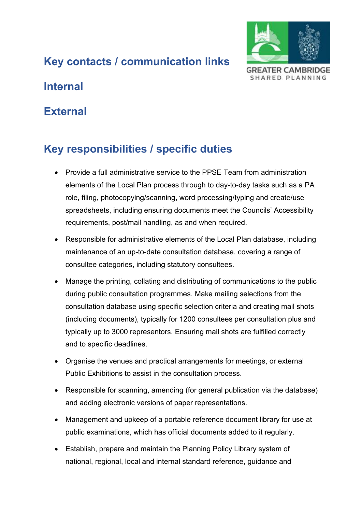# **Key contacts / communication links**



### **Internal**

#### **External**

# **Key responsibilities / specific duties**

- Provide a full administrative service to the PPSE Team from administration elements of the Local Plan process through to day-to-day tasks such as a PA role, filing, photocopying/scanning, word processing/typing and create/use spreadsheets, including ensuring documents meet the Councils' Accessibility requirements, post/mail handling, as and when required.
- Responsible for administrative elements of the Local Plan database, including maintenance of an up-to-date consultation database, covering a range of consultee categories, including statutory consultees.
- Manage the printing, collating and distributing of communications to the public during public consultation programmes. Make mailing selections from the consultation database using specific selection criteria and creating mail shots (including documents), typically for 1200 consultees per consultation plus and typically up to 3000 representors. Ensuring mail shots are fulfilled correctly and to specific deadlines.
- Organise the venues and practical arrangements for meetings, or external Public Exhibitions to assist in the consultation process.
- Responsible for scanning, amending (for general publication via the database) and adding electronic versions of paper representations.
- Management and upkeep of a portable reference document library for use at public examinations, which has official documents added to it regularly.
- Establish, prepare and maintain the Planning Policy Library system of national, regional, local and internal standard reference, guidance and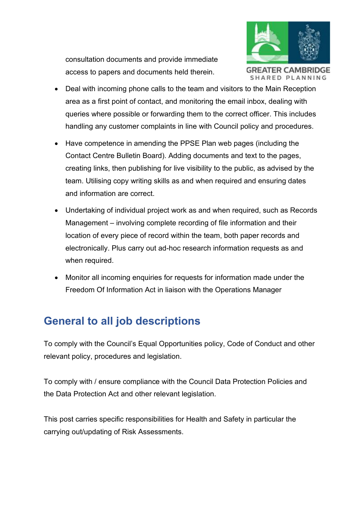consultation documents and provide immediate access to papers and documents held therein.



- Deal with incoming phone calls to the team and visitors to the Main Reception area as a first point of contact, and monitoring the email inbox, dealing with queries where possible or forwarding them to the correct officer. This includes handling any customer complaints in line with Council policy and procedures.
- Have competence in amending the PPSE Plan web pages (including the Contact Centre Bulletin Board). Adding documents and text to the pages, creating links, then publishing for live visibility to the public, as advised by the team. Utilising copy writing skills as and when required and ensuring dates and information are correct.
- Undertaking of individual project work as and when required, such as Records Management – involving complete recording of file information and their location of every piece of record within the team, both paper records and electronically. Plus carry out ad-hoc research information requests as and when required.
- Monitor all incoming enquiries for requests for information made under the Freedom Of Information Act in liaison with the Operations Manager

# **General to all job descriptions**

To comply with the Council's Equal Opportunities policy, Code of Conduct and other relevant policy, procedures and legislation.

To comply with / ensure compliance with the Council Data Protection Policies and the Data Protection Act and other relevant legislation.

This post carries specific responsibilities for Health and Safety in particular the carrying out/updating of Risk Assessments.